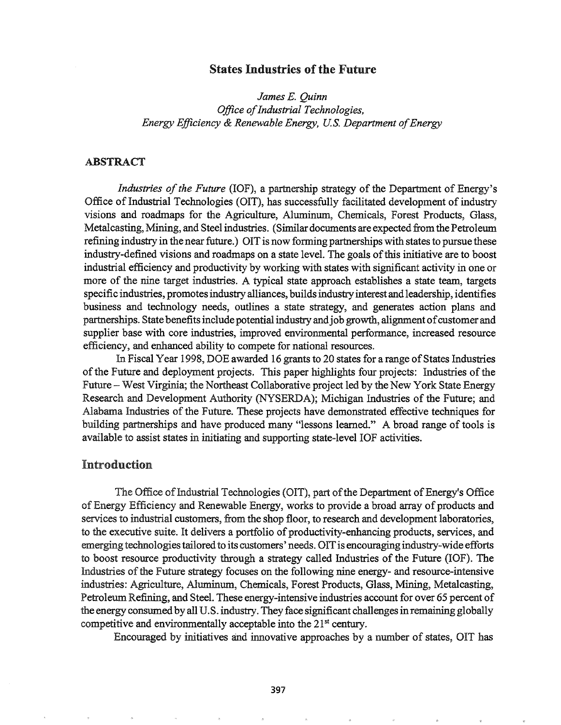### **States Industries of the Future**

*James E. Quinn Office ofIndustrial Technologies, Energy Efficiency & Renewable Energy, U.S. Department of Energy* 

#### ABSTRACT

*Industries* of the *Future* (IOF), a partnership strategy of the Department of Energy's Office of Industrial Technologies (OIT), has successfully facilitated development of industry visions and roadmaps for the Agriculture, Aluminum, Chemicals, Forest Products, Glass, Metalcasting, Mining, and Steel industries. (Similardocuments are expected from the Petroleum refining industry in the near future.) OIT is now forming partnerships with states to pursue these industry-defined visions and roadmaps on a state level. The goals of this initiative are to boost industrial efficiency and productivity by working with states with significant activity in one or more of the nine target industries. A typical state approach establishes a state team, targets specific industries, promotesindustry alliances, buildsindustryinterest and leadership, identifies business and technology needs, outlines a state strategy, and generates action plans and partnerships. State benefits include potential industry and job growth, alignment of customer and supplier base with core industries, improved environmental performance, increased resource efficiency, and enhanced ability to compete for national resources.

In Fiscal Year 1998, DOE awarded 16 grants to 20 states for a range of States Industries of the Future and deployment projects. This paper highlights four projects: Industries of the Future - West Virginia; the Northeast Collaborative project led by the New York State Energy Research and Development Authority (NYSERDA); Michigan Industries of the Future; and Alabama Industries of the Future. These projects have demonstrated effective techniques for building partnerships and have produced many "lessons learned." A broad range of tools is available to assist states in initiating and supporting state-level IOF activities.

# Introduction

The Office of Industrial Technologies (OIT), part of the Department of Energy's Office of Energy Efficiency and Renewable Energy, works to provide a broad array of products and services to industrial customers, from the shop floor, to research and development laboratories, to the executive suite. It delivers a portfolio of productivity-enhancing products, services, and emerging technologies tailored to its customers' needs. OIT is encouraging industry-wide efforts to boost resource productivity through a strategy called Industries of the Future (IOF). The Industries of the Future strategy focuses on the following nine energy- and resource-intensive industries: Agriculture, Aluminum, Chemicals, Forest Products, Glass, Mining, Metalcasting, Petroleum Refining, and Steel. These energy-intensive industries account for over 65 percent of the energy consumed by all U.S. industry. They face significant challenges in remaining globally competitive and environmentally acceptable into the 21<sup>st</sup> century.

Encouraged by initiatives and innovative approaches by a number of states, OIT has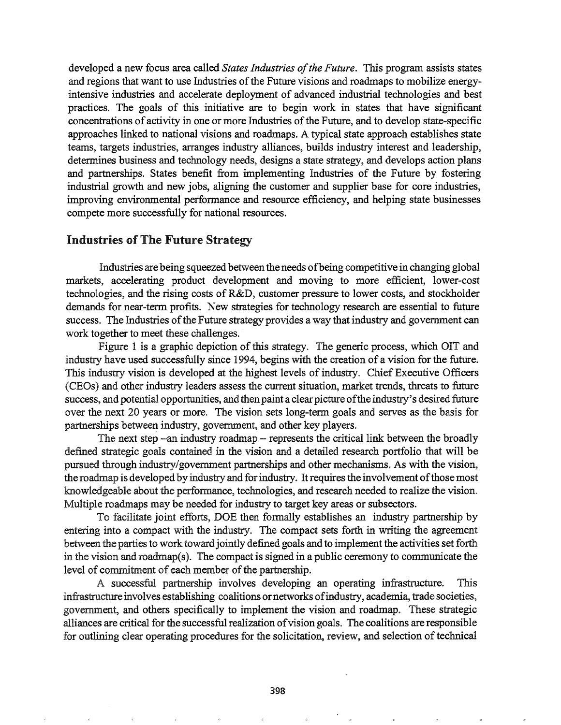developed a new focus area called *States Industries of the Future*. This program assists states and regions that want to use Industries of the Future visions and roadmaps to mobilize energyintensive industries and accelerate deployment of advanced industrial technologies and best practices. The goals of this initiative are to begin work in states that have significant concentrations of activity in one or more Industries of the Future, and to develop state-specific approaches linked to national visions and roadmaps. A typical state approach establishes state teams, targets industries, arranges industry alliances, builds industry interest and leadership, determines business and technology needs, designs a state strategy, and develops action plans and partnerships. States benefit from implementing Industries of the Future by fostering industrial growth and new jobs, aligning the customer and supplier base for core industries, improving environmental performance and resource efficiency, and helping state businesses compete more successfully for national resources.

# Industries of The Future Strategy

Industries are being squeezed between the needs ofbeing competitive in changing global markets, accelerating product development and moving to more efficient, lower-cost technologies, and the rising costs ofR&D, customer pressure to lower costs, and stockholder demands for near-term profits. New strategies for technology research are essential to future success. The Industries of the Future strategy provides a way that industry and government can work together to meet these challenges.

Figure 1 is a graphic depiction of this strategy. The generic process, which OIT and industry have used successfully since 1994, begins with the creation of a vision for the future. This industry vision is developed at the highest levels of industry. Chief Executive Officers (CEOs) and other industry leaders assess the current situation, market trends, threats to future success, and potential opportunities, and then paint a clear picture of the industry's desired future over the next 20 years or more. The vision sets long-term goals and serves as the basis for partnerships between industry, government, and other key players.

The next step -an industry roadmap - represents the critical link between the broadly defined strategic goals contained in the vision and a detailed research portfolio that will be pursued through industry/government partnerships and other mechanisms.. As with the vision, the roadmap is developed by industry and for industry. It requires the involvement of those most knowledgeable about the performance, technologies, and research needed to realize the vision. Multiple roadmaps may be needed for industry to target key areas or subsectors.

To facilitate joint efforts, DOE then formally establishes an industry partnership by entering into a compact with the industry. The compact sets forth in writing the agreement between the parties to work toward jointly defined goals and to implement the activities set forth in the vision and roadmap(s). The compact is signed in a public ceremony to communicate the level of commitment of each member of the partnership.

A successful partnership involves developing an operating infrastructure. This infrastructure involves establishing coalitions ornetworks ofindustry, academia, trade societies, government, and others specifically to implement the vision and roadmap.. These strategic alliances are critical for the successful realization ofvision goals. The coalitions are responsible for outlining clear operating procedures for the solicitation, review, and selection of technical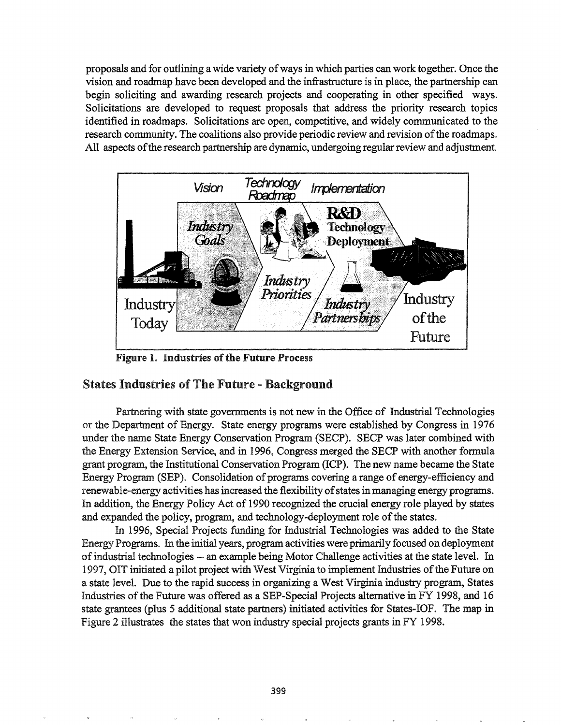proposals and for outlining a wide variety of ways in which parties can work together. Once the vision and roadmap have been developed and the infrastructure is in place, the partnership can begin soliciting and awarding research projects and cooperating in other specified ways. Solicitations are developed to request proposals that address the priority research topics identified in roadmaps. Solicitations are open, competitive, and widely communicated to the research community. The coalitions also provide periodic review and revision of the roadmaps. All aspects of the research partnership are dynamic, undergoing regular review and adjustment.



Figure 1. Industries of the Future Process

# States Industries of The Future - Background

Partnering with state governments is not new in the Office of Industrial Technologies or the Department of Energy. State energy programs were established by Congress in 1976 under the name State Energy Conservation Program (SECP). SECP was later combined with the Energy Extension Service, and in 1996, Congress merged the SECP with another formula grant program, the Institutional Conservation Program (ICP). The new name became the State Energy Program (SEP). Consolidation of programs covering a range of energy-efficiency and renewable-energy activities has increased the flexibility of states in managing energy programs. In addition, the Energy Policy Act of 1990 recognized the crucial energy role played by states and expanded the policy, program, and technology-deployment role of the states.

In 1996, Special Projects funding for Industrial Technologies was added to the State Energy Programs. In the initial years, program activities were primarily focused on deployment ofindustrial technologies -- an example being Motor Challenge activities at the state level. In 1997, OIT initiated a pilot project with West Virginia to implement Industries ofthe Future on a state level. Due to the rapid success in organizing a West Virginia industry program, States Industries of the Future was offered as a SEP-Special Projects alternative in FY 1998, and 16 state grantees (plus 5 additional state partners) initiated activities for States-IOF.. The map in Figure 2 illustrates the states that won industry special projects grants in FY 1998..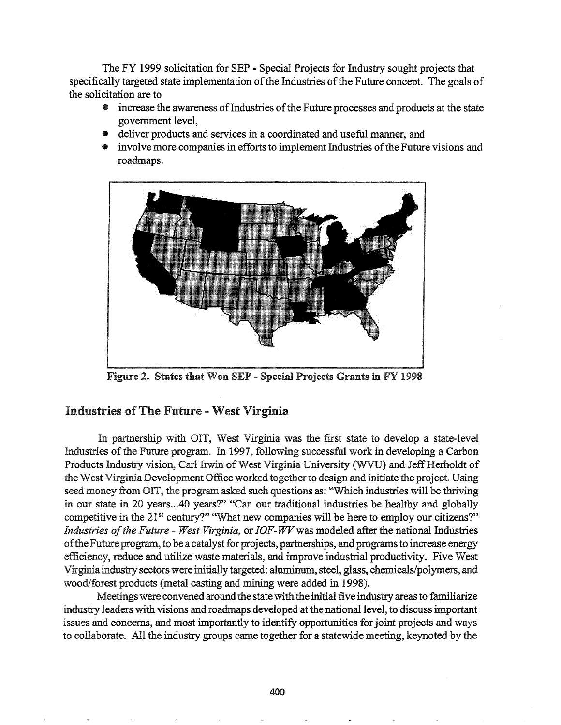The FY 1999 solicitation for SEP - Special Projects for Industry sought projects that specifically targeted state implementation of the Industries of the Future concept. The goals of the solicitation are to

- increase the awareness of Industries of the Future processes and products at the state government level,
- deliver products and services in a coordinated and useful manner, and
- involve more companies in efforts to implement Industries of the Future visions and roadmaps.



Figure 2. States that Won SEP - Special Projects Grants in FY 1998

# Industries of The Futnre - West Virginia

In partnership with OIT, West Virginia was the first state to develop a state-level Industries of the Future program. In 1997, following successful work in developing a Carbon Products Industry vision, Carl Irwin of West Virginia University (WVU) and Jeff Herholdt of the West Virginia Development Office worked together to design and initiate the project. Using seed money from OIT, the program asked such questions as: "Which industries will be thriving in our state in 20 years...40 years?" "Can our traditional industries be healthy and globally competitive in the 21<sup>st</sup> century?" "What new companies will be here to employ our citizens?" *Industries of the Future - West Virginia,* or *IOF-WV* was modeled after the national Industries of the Future program, to be a catalyst for projects, partnerships, and programs to increase energy efficiency, reduce and utilize waste materials, and improve industrial productivity. Five West Virginia industrysectorswere initiallytargeted: aluminum,steel, glass, chemicals/polymers, and wood/forest products (metal casting and mining were added in 1998).

Meetings were convened around the state with the initial five industry areas to familiarize industry leaders with visions and roadmaps developed at the national level, to discussimportant issues and concerns, and most importantly to identify opportunities for joint projects and ways to collaborate. All the industry groups came together for a statewide meeting, keynoted by the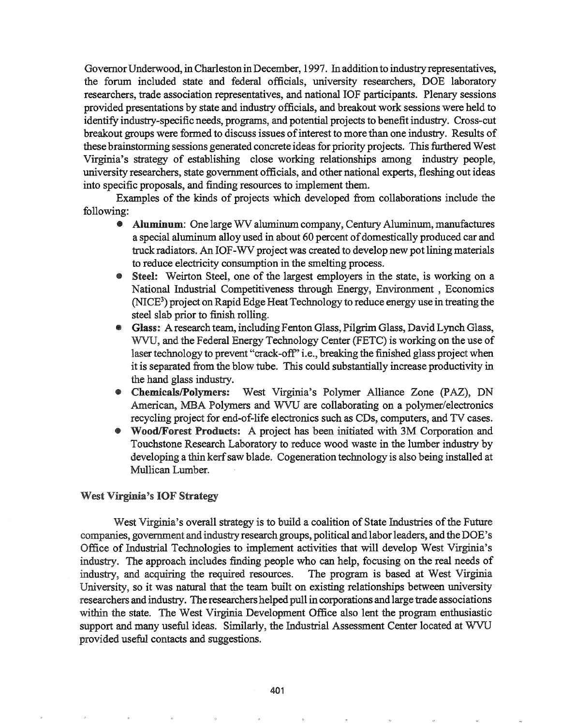Governor Underwood, in Charleston in December, 1997. In addition to industry representatives, the forum included state and federal officials, university researchers, DOE laboratory researchers, trade association representatives, and national IOF participants. Plenary sessions provided presentations by state and industry officials, and breakout work sessions were held to identify industry-specific needs, programs, and potential projects to benefit industry. Cross-cut breakout groups were fonned to discuss issues ofinterest to more than one industry. Results of these brainstonning sessions generated concrete ideas for priority projects. This furthered West Virginia's strategy of establishing close working relationships among industry people, university researchers, state government officials, and other national experts, fleshing out ideas into specific proposals, and finding resources to implement them.

Examples of the kinds of projects which developed from collaborations include the following:

- Aluminum: One large WV aluminum company, Century Aluminum, manufactures a special aluminum alloy used in about 60 percent of domestically produced car and truck radiators. An IOF-WV project was created to develop new pot lining materials to reduce electricity consumption in the smelting process.
- Steel: Weirton Steel, one of the largest employers in the state, is working on a National Industrial Competitiveness through Energy, Environment, Economics (NICE<sup>3</sup>) project on Rapid Edge Heat Technology to reduce energy use in treating the steel slab prior to finish rolling.
- .. Glass: A research team, including Fenton Glass, Pilgrim Glass, David Lynch Glass, WVU, and the Federal Energy Technology Center (FETC) is working on the use of laser technology to prevent "crack-off" i.e., breaking the finished glass project when it is separated from the blow tube. This could substantially increase productivity in the hand glass industry..
- ChemicalslPolymers: West Virginia's Polymer Alliance Zone (PAZ), DN American, MBA Polymers and WVU are collaborating on a polymer/electronics recycling project for end-of-life electronics such as CDs, computers, and TV cases.
- WoodIForest Products: A project has been initiated with 3M Corporation and Touchstone Research Laboratory to reduce wood waste in the lumber industry by developing a thin kerf saw blade. Cogeneration technology is also being installed at Mullican Lumber.

### West Virginia's IOF Strategy

West Virginia's overall strategy is to build a coalition of State Industries of the Future companies, government and industry research groups, political and laborleaders, and the DOE's Office of Industrial Technologies to implement activities that will develop West Virginia's industry. The approach includes finding people who can help, focusing on the real needs of industry, and acquiring the required resources. The program is based at West Virginia University, so it was natural that the team built on existing relationships between university researchers and industry. The researchers helped pull in corporations and large trade associations within the state. The West Virginia Development Office also lent the program enthusiastic support and many useful ideas. Similarly, the Industrial Assessment Center located at WVU provided useful contacts and suggestions.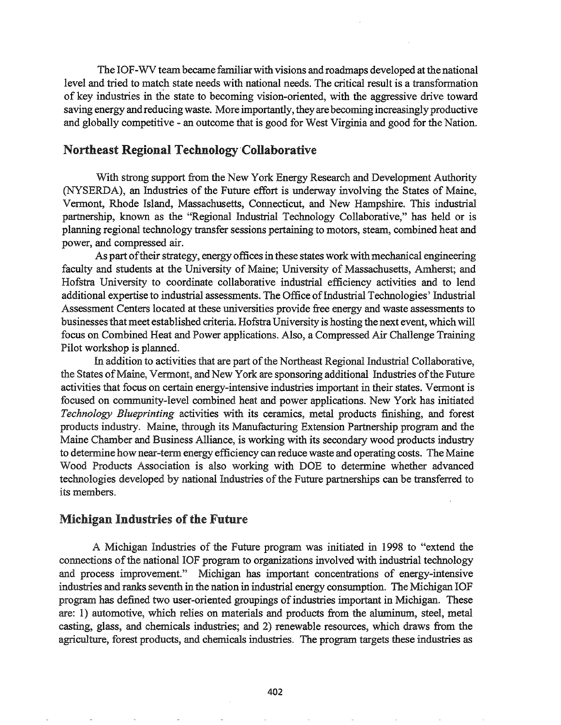The IOF-WV team became familiar with visions and roadmaps developed at the national level and tried to match state needs with national needs. The critical result is a transformation of key industries in the state to becoming vision-oriented, with the aggressive drive toward saving energy and reducing waste. More importantly, they are becoming increasingly productive and globally competitive - an outcome that is good for West Virginia and good for the Nation.

## Northeast Regional Technology Collaborative

With strong support from the New York Energy Research and Development Authority (NYSERDA), an Industries of the Future effort is underway involving the States of Maine, Vennont, Rhode Island, Massachusetts, Connecticut, and New Hampshire. This industrial partnership, known as the "Regional Industrial Technology Collaborative," has held or is planning regional technology transfer sessions pertaining to motors, steam, combined heat and power, and compressed air.

As part of their strategy, energy offices in these states work with mechanical engineering faculty and students at the University of Maine; University of Massachusetts, Amherst; and Hofstra University to coordinate collaborative industrial efficiency activities and to lend additional expertise to industrial assessments. The Office of Industrial Technologies' Industrial Assessment Centers located at these universities provide free energy and waste assessments to businesses that meet established criteria. Hofstra University is hosting the next event, which will focus on Combined Heat and Power applications. Also, a Compressed Air Challenge Training Pilot workshop is planned.

In addition to activities that are part of the Northeast Regional Industrial Collaborative, the States of Maine, Vermont, and New York are sponsoring additional Industries of the Future activities that focus on certain energy-intensive industries important in their states. Vermont is focused on community-level combined heat and power applications.. New York has initiated *Technology Blueprinting* activities with its ceramics, metal products finishing, and forest products industry. Maine, through its Manufacturing Extension Partnership program and the Maine Chamber and Business Alliance, is working with its secondary wood products industry to determine how near-term energy efficiency can reduce waste and operating costs. The Maine Wood Products Association is also working with DOE to detennine whether advanced technologies developed by national Industries of the Future partnerships can be transferred to its members..

## Michigan Industries of the Future

Michigan Industries of the Future program was initiated in 1998 to "extend the connections of the national IOF program to organizations involved with industrial technology and process improvement." Michigan has important concentrations of energy-intensive industries and ranks seventh in the nation in industrial energy consumption. The Michigan IOF program has defined two user-oriented groupings of industries important in Michigan. These are: 1) automotive, which relies on materials and products from the aluminum, steel, metal casting, glass, and chemicals industries; and 2) renewable resources, which draws from the agriculture, forest products, and chemicals industries. The program targets these industries as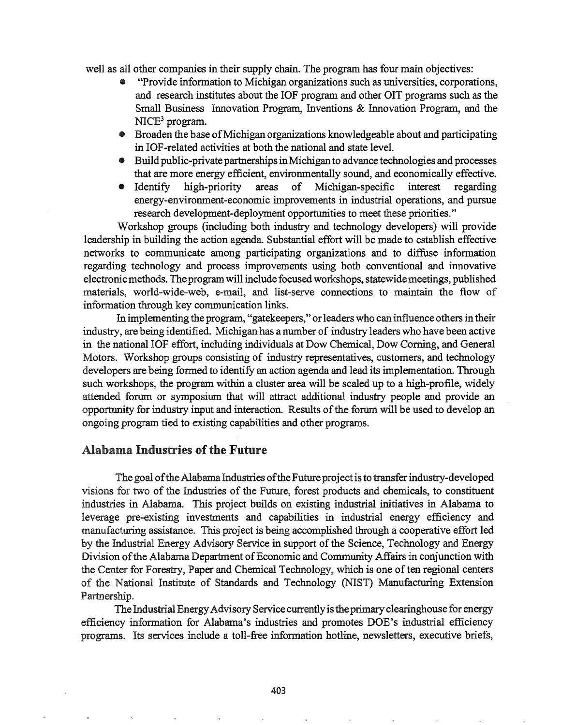well as all other companies in their supply chain. The program has four main objectives:

- "Provide information to Michigan organizations such as universities, corporations, and research institutes about the IOF program and other OIT programs such as the Small Business Innovation Program, Inventions & Innovation Program, and the NICE<sup>3</sup> program.
- Broaden the base ofMichigan organizations knowledgeable about and participating in IOF-related activities at both the national and state level.
- Build public-private partnerships in Michigan to advance technologies and processes that are more energy efficient, environmentally sound, and economically effective.
- Identify high-priority areas of Michigan-specific interest regarding energy-environment-economic improvements in industrial operations, and pursue research development-deployment opportunities to meet these priorities."

Workshop groups (including both industry and technology developers) will provide leadership in building the action agenda. Substantial effort will be made to establish effective networks to communicate among participating organizations and to diffuse infonnation regarding technology and process improvements using both conventional and innovative electronicmethods. Theprogramwill include focused workshops, statewidemeetings, published materials, world-wide-web, e-mail, and list-serve connections to maintain the flow of information through key communication links.

In implementing the program, "gatekeepers," or leaders who can influence others in their industry, are being identified. Michigan has a number of industry leaders who have been active in the national IOF effort, including individuals at Dow Chemical, Dow Corning, and General Motors. Workshop groups consisting of industry representatives, customers, and technology developers are being formed to identify an action agenda and lead its implementation. Through such workshops, the program within a cluster area will be scaled up to a high-profile, widely attended forum or symposium that will attract additional industry people and provide an opportunity for industry input and interaction. Results of the forum will be used to develop an ongoing program tied to existing capabilities and other programs.

# Alabama Industries ofthe Future

The goal of the Alabama Industries of the Future project is to transfer industry-developed visions for two of the Industries of the Future, forest products and chemicals, to constituent industries in Alabama. This project builds on existing industrial initiatives in Alabama to leverage pre-existing investments and capabilities in industrial energy efficiency and manufacturing assistance. This project is being accomplished through a cooperative effort led by the Industrial Energy Advisory Service in support of the Science, Technology and Energy Division of the Alabama Department of Economic and Community Affairs in conjunction with the Center for Forestry, Paper and Chemical Technology, which is one of ten regional centers of the National Institute of Standards and Technology (NIST) Manufacturing Extension Partnership.

The Industrial Energy Advisory Service currently is the primary clearinghouse for energy efficiency information for Alabama's industries and promotes DOE's industrial efficiency programs. Its services include a toll-free information hotline, newsletters, executive briefs,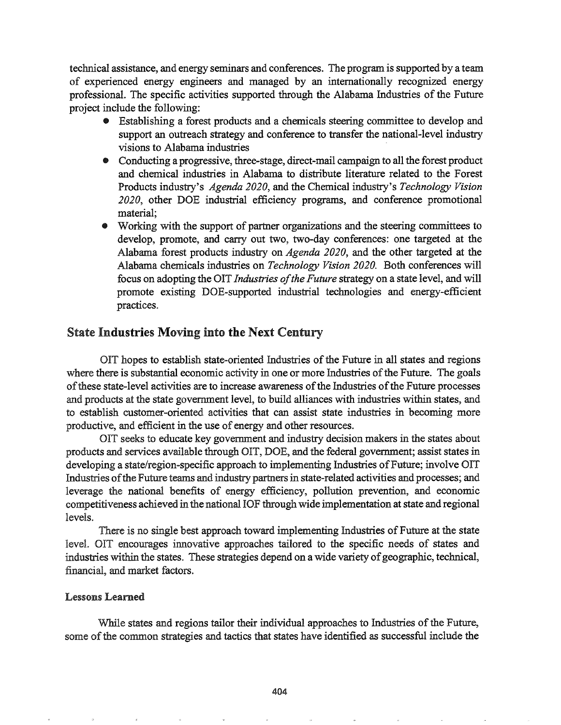technical assistance, and energy seminars and conferences. The program is supported by a team of experienced energy engineers and managed by an internationally recognized energy professional. The specific activities supported through the Alabama Industries of the Future project include the following:

- Establishing a forest products and a chemicals steering committee to develop and support an outreach strategy and conference to transfer the national-level industry visions to Alabama industries
- Conducting a progressive, three-stage, direct-mail campaign to all the forest product and chemical industries in Alabama to distribute literature related to the Forest Products industry's *Agenda 2020,* and the Chemical industry's *Technology Vision 2020,* other DOE industrial efficiency programs, and conference promotional material;
- Working with the support of partner organizations and the steering committees to develop, promote, and carry out two, two-day conferences: one targeted at the Alabama forest products industry on *Agenda 2020,* and the other targeted at the Alabama chemicals industries on *Technology Vision 2020.* Both conferences will focus on adopting the OIT *Industries of the Future* strategy on a state level, and will promote existing DOE-supported industrial technologies and energy-efficient practices.

# State Industries Moving into the Next Century

OIT hopes to establish state-oriented Industries ofthe Future in all states and regions where there is substantial economic activity in one or more Industries of the Future. The goals of these state-level activities are to increase awareness of the Industries of the Future processes and products at the state government level, to build alliances with industries within states, and to establish customer-oriented activities that can assist state industries in becoming more productive, and efficient in the use of energy and other resources..

OIT seeks to educate key government and industry decision makers in the states about products and services available through OIT, DOE, and the federal government; assist states in developing a state/region-specific approach to implementing Industries of Future; involve OIT Industries of the Future teams and industry partners in state-related activities and processes; and leverage the national benefits of energy efficiency, pollution prevention, and economic competitiveness achieved in the national IOF through wide implementation atstate and regional levels.

There is no single best approach toward implementing Industries of Future at the state level. OIT encourages innovative approaches tailored to the specific needs of states and industries within the states. These strategies depend on a wide variety of geographic, technical, financial, and market factors.

### Lessons Learned

While states and regions tailor their individual approaches to Industries of the Future, some of the common strategies and tactics that states have identified as successful include the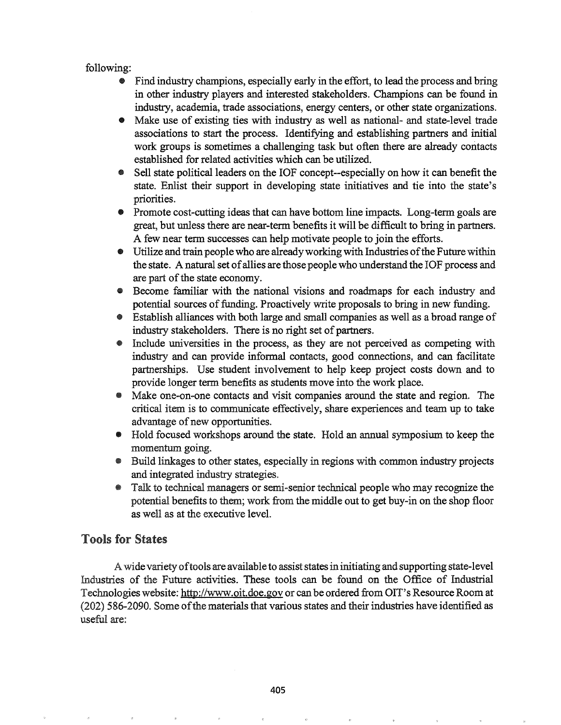# following:

- Find industry champions, especially early in the effort, to lead the process and bring in other industry players and interested stakeholders. Champions can be found in industry, academia, trade associations, energy centers, or other state organizations.
- Make use of existing ties with industry as well as national- and state-level trade associations to start the process. Identifying and establishing partners and initial work groups is sometimes a challenging task but often there are already contacts established for related activities which can be utilized.
- Sell state political leaders on the IOF concept--especially on how it can benefit the state. Enlist their support in developing state initiatives and tie into the state's priorities.
- Promote cost-cutting ideas that can have bottom line impacts. Long-term goals are great, but unless there are near-term benefits it will be difficult to bring in partners. A few near term successes can help motivate people to join the efforts.
- Utilize and train people who are already working with Industries of the Future within the state. A natural set ofallies are those people who understand the lOF process and are part of the state economy.
- Become familiar with the national visions and roadmaps for each industry and potential sources of funding. Proactively write proposals to bring in new funding.
- Establish alliances with both large and small companies as well as a broad range of industry stakeholders. There is no right set of partners.
- Include universities in the process, as they are not perceived as competing with industry and can provide informal contacts, good connections, and can facilitate partnerships. Use student involvement to help keep project costs down and to provide longer tenn benefits as students move into the work place.
- Make one-on-one contacts and visit companies around the state and region. The critical item is to communicate effectively, share experiences and team up to take advantage of new opportunities.
- Hold focused workshops around the state. Hold an annual symposium to keep the momentum going..
- Build linkages to other states, especially in regions with common industry projects and integrated industry strategies..
- Talk to technical managers or semi-senior technical people who may recognize the potential benefits to them; work from the middle out to get buy-in on the shop floor as well as at the executive level..

# Tools for States

A wide variety of tools are available to assist states in initiating and supporting state-level Industries of the Future activities. These tools can be found on the Office of Industrial Technologies website: http://www.oit.doe.gov or can be ordered from OIT's Resource Room at  $(202)$  586-2090. Some of the materials that various states and their industries have identified as useful are: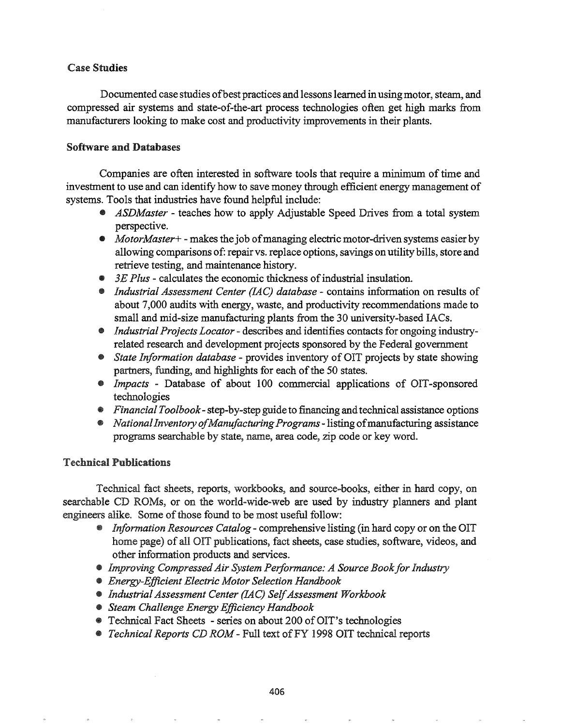## Case Studies

Documented case studies of best practices and lessons learned in using motor, steam, and compressed air systems and state-of-the-art process technologies often get high marks from manufacturers looking to make cost and productivity improvements in their plants.

### Software and Databases

Companies are often interested in software tools that require a minimum oftime and investment to use and can identify how to save money through efficient energy management of systems. Tools that industries have found helpful include:

- *• ASDMaster* teaches how to apply Adjustable Speed Drives from a total system perspective.
- *MotorMaster* + makes the job of managing electric motor-driven systems easier by allowing comparisons of: repair vs. replace options, savings on utility bills, store and retrieve testing, and maintenance history.
- *3E Plus* calculates the economic thickness of industrial insulation.
- *• Industrial Assessment Center (IA*C) *database* contains information on results of about 7,000 audits with energy, waste, and productivity recommendations made to small and mid-size manufacturing plants from the 30 university-based lACs.
- *• Industrial Projects Locator* describes and identifies contacts for ongoing industry... related research and development projects sponsored by the Federal government
- *• State Information database* provides inventory of OIT projects by state showing partners, funding, and highlights for each of the 50 states.
- *• Impacts* Database of about 100 commercial applications of OIT-sponsored technologies
- *• Financial Too/book-* step-by-step guide to financing and technical assistance options
- *National Inventory of Manufacturing Programs* listing of manufacturing assistance programs searchable by state, name, area code, zip code or key word.

# **Technical Publications**

Technical fact sheets, reports, workbooks, and source-books, either in hard copy, on searchable CD ROMs, or on the world-wide-web are used by industry planners and plant engineers alike. Some of those found to be most useful follow:

- *Information Resources Catalog* comprehensive listing (in hard copy or on the OIT home page) of all OIT publications, fact sheets, case studies, software, videos, and other information products and services.
- *Improving Compressed Air System Performance: A Source Book for Industry*
- *• Energy-Efficient Electric Motor Selection Handbook*
- *• Industrial Assessment Center (lAC) SelfAssessment Workbook*
- *• Steam Challenge Energy Efficiency Handbook*
- Technical Fact Sheets series on about 200 of OIT's technologies
- *Technical Reports CD ROM* Full text of FY 1998 OIT technical reports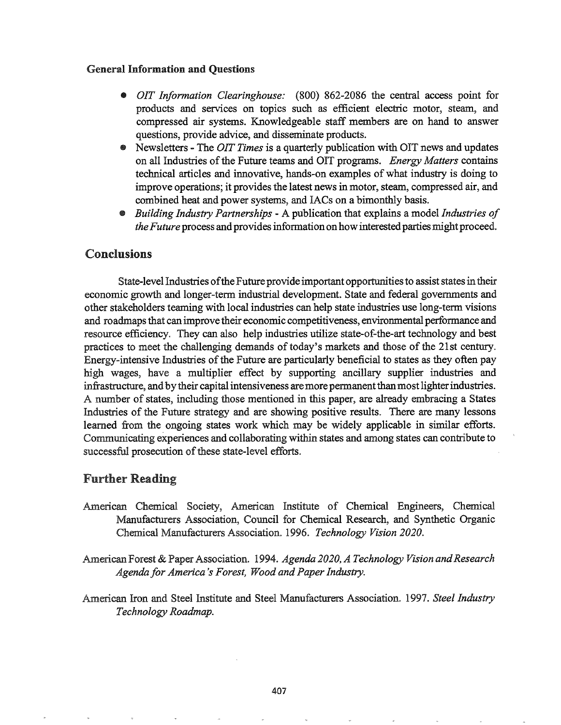### General Information and Questions

- *• OIT Information Clearinghouse:* (800) 862-2086 the central access point for products and services on topics such as efficient electric motor, steam, and compressed air systems. Knowledgeable staff members are on hand to answer questions, provide advice, and disseminate products.
- Newsletters The *OIT Times* is a quarterly publication with OIT news and updates on all Industries of the Future teams and OIT programs. *Energy Matters* contains technical articles and innovative, hands-on examples of what industry is doing to improve operations; it provides the latest news in motor, steam, compressed air, and combined heat and power systems, and lACs on a bimonthly basis.
- I) *Building Industry Partnerships* A publication that explains a model *Industries of the Future* process and provides information on how interested parties might proceed.

# Conclusions

State-level Industries of the Future provide important opportunities to assist states in their economic growth and longer-term industrial development. State and federal governments and other stakeholders teaming with local industries can help state industries use long-term visions and roadmaps that can improve their economic competitiveness, environmental performance and resource efficiency. They can also help industries utilize state-of-the-art technology and best practices to meet the challenging demands of today's markets and those of the 21st century. Energy-intensive Industries of the Future are particularly beneficial to states as they often pay high wages, have a multiplier effect by supporting ancillary supplier industries and infrastructure, and by their capital intensiveness are more permanent than most lighter industries. A number of states, including those mentioned in this paper, are already embracing a States Industries of the Future strategy and are showing positive results. There are many lessons learned from the ongoing states work which may be widely applicable in similar efforts. Communicating experiences and collaborating within states and among states can contribute to successful prosecution of these state-level efforts.

# Further Reading

- American Chemical Society, American Institute of Chemical Engineers, Chemical Manufacturers Association, Council for Chemical Research, and Synthetic Organic Chemical Manufacturers Association. 1996. *Technology Vision 2020*.
- American Forest & Paper Association. 1994. *Agenda* 2020, *A* Technology Vision and Research *Agenda for America's Forest, Wood and PaperIndustry.*
- American Iron and Steel Institute and Steel Manufacturers Associatione 1997. *Steel Industry Technology Roadmap.*